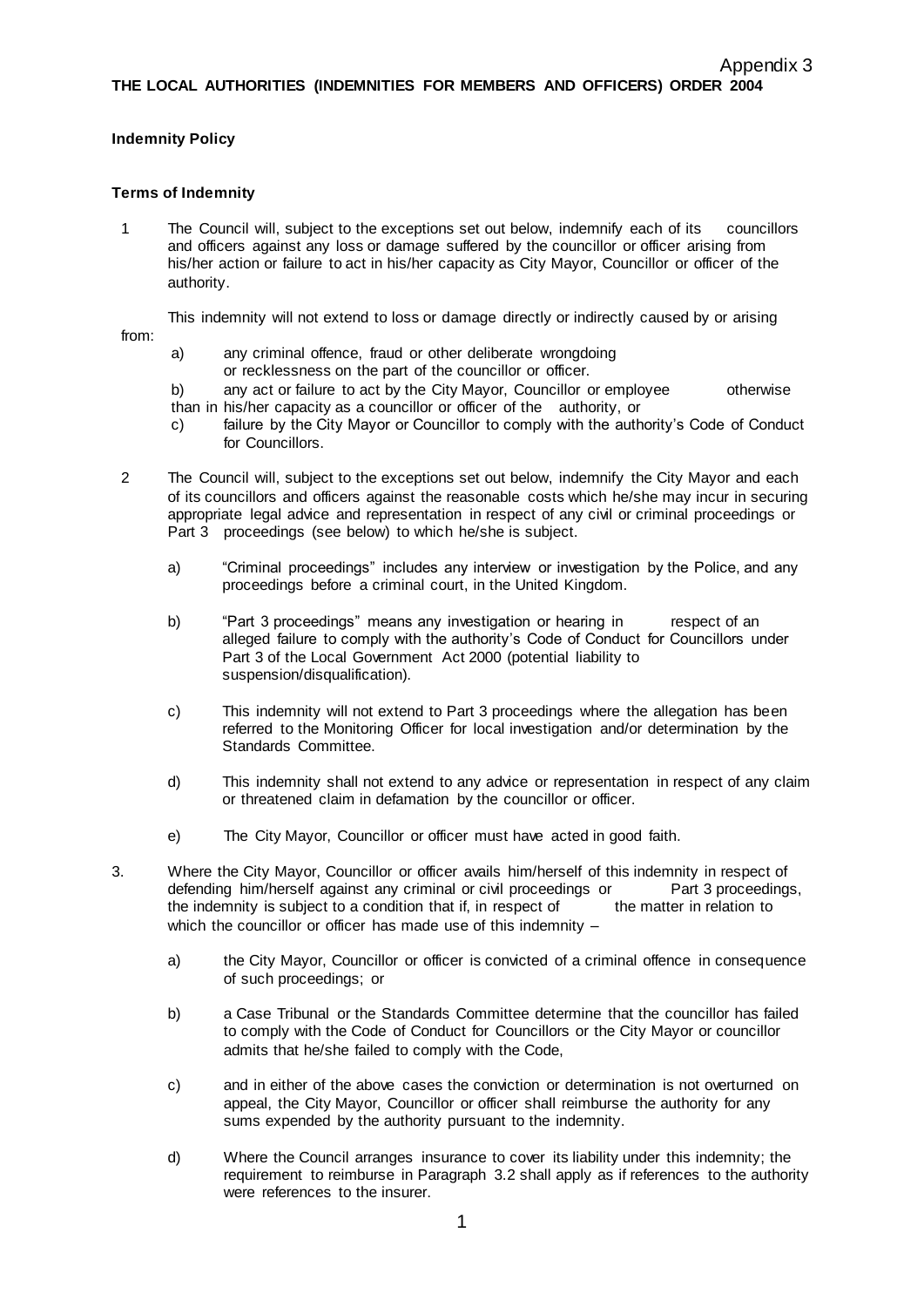## **Indemnity Policy**

## **Terms of Indemnity**

1 The Council will, subject to the exceptions set out below, indemnify each of its councillors and officers against any loss or damage suffered by the councillor or officer arising from his/her action or failure to act in his/her capacity as City Mayor, Councillor or officer of the authority.

This indemnity will not extend to loss or damage directly or indirectly caused by or arising

from:

- a) any criminal offence, fraud or other deliberate wrongdoing or recklessness on the part of the councillor or officer.
- b) any act or failure to act by the City Mayor, Councillor or employee otherwise than in his/her capacity as a councillor or officer of the authority, or
- c) failure by the City Mayor or Councillor to comply with the authority's Code of Conduct for Councillors.
- 2 The Council will, subject to the exceptions set out below, indemnify the City Mayor and each of its councillors and officers against the reasonable costs which he/she may incur in securing appropriate legal advice and representation in respect of any civil or criminal proceedings or Part 3 proceedings (see below) to which he/she is subject.
	- a) "Criminal proceedings" includes any interview or investigation by the Police, and any proceedings before a criminal court, in the United Kingdom.
	- b) "Part 3 proceedings" means any investigation or hearing in respect of an alleged failure to comply with the authority's Code of Conduct for Councillors under Part 3 of the Local Government Act 2000 (potential liability to suspension/disqualification).
	- c) This indemnity will not extend to Part 3 proceedings where the allegation has been referred to the Monitoring Officer for local investigation and/or determination by the Standards Committee.
	- d) This indemnity shall not extend to any advice or representation in respect of any claim or threatened claim in defamation by the councillor or officer.
	- e) The City Mayor, Councillor or officer must have acted in good faith.
- 3. Where the City Mayor, Councillor or officer avails him/herself of this indemnity in respect of defending him/herself against any criminal or civil proceedings or Part 3 proceedings, the indemnity is subject to a condition that if, in respect of the matter in relation to the indemnity is subject to a condition that if, in respect of which the councillor or officer has made use of this indemnity
	- a) the City Mayor, Councillor or officer is convicted of a criminal offence in consequence of such proceedings; or
	- b) a Case Tribunal or the Standards Committee determine that the councillor has failed to comply with the Code of Conduct for Councillors or the City Mayor or councillor admits that he/she failed to comply with the Code,
	- c) and in either of the above cases the conviction or determination is not overturned on appeal, the City Mayor, Councillor or officer shall reimburse the authority for any sums expended by the authority pursuant to the indemnity.
	- d) Where the Council arranges insurance to cover its liability under this indemnity; the requirement to reimburse in Paragraph 3.2 shall apply as if references to the authority were references to the insurer.